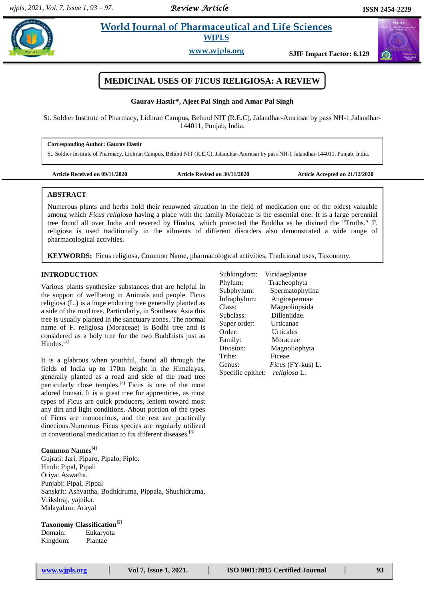*Review Article* 

# **Example 3 Is al. 2018 Morld Journal of Pharmaceutical and Life Sciences WJPLS**

**www.wjpls.org SJIF Impact Factor: 6.129**



# **MEDICINAL USES OF FICUS RELIGIOSA: A REVIEW**

### **Gaurav Hastir\*, Ajeet Pal Singh and Amar Pal Singh**

St. Soldier Institute of Pharmacy, Lidhran Campus, Behind NIT (R.E.C), Jalandhar-Amritsar by pass NH-1 Jalandhar-144011, Punjab, India.

## **Corresponding Author: Gaurav Hastir**

St. Soldier Institute of Pharmacy, Lidhran Campus, Behind NIT (R.E.C), Jalandhar-Amritsar by pass NH-1 Jalandhar-144011, Punjab, India.

| Article Received on 09/11/2020 |  |
|--------------------------------|--|
|--------------------------------|--|

Article Revised on 30/11/2020 **Article Accepted on 21/12/2020** 

## **ABSTRACT**

Numerous plants and herbs hold their renowned situation in the field of medication one of the oldest valuable among which *Ficus religiosa* having a place with the family Moraceae is the essential one. It is a large perennial tree found all over India and revered by Hindus, which protected the Buddha as he divined the "Truths." F. religiosa is used traditionally in the ailments of different disorders also demonstrated a wide range of pharmacological activities.

**KEYWORDS:** Ficus religiosa, Common Name, pharmacological activities, Traditional uses, Taxonomy.

## **INTRODUCTION**

Various plants synthesize substances that are helpful in the support of wellbeing in Animals and people. Ficus religiosa (L.) is a huge enduring tree generally planted as a side of the road tree. Particularly, in Southeast Asia this tree is usually planted in the sanctuary zones. The normal name of F. religiosa (Moraceae) is Bodhi tree and is considered as a holy tree for the two Buddhists just as Hindus.[1]

It is a glabrous when youthful, found all through the fields of India up to 170m height in the Himalayas, generally planted as a road and side of the road tree particularly close temples.<sup>[2]</sup> Ficus is one of the most adored bonsai. It is a great tree for apprentices, as most types of Ficus are quick producers, lenient toward most any dirt and light conditions. About portion of the types of Ficus are monoecious, and the rest are practically dioecious.Numerous Ficus species are regularly utilized in conventional medication to fix different diseases.<sup>[3]</sup>

# **Common Names[4]**

Gujrati: Jari, Piparo, Pipalo, Piplo. Hindi: Pipal, Pipali Oriya: Aswatha. Punjabi: Pipal, Pippal Sanskrit: Ashvattha, Bodhidruma, Pippala, Shuchidruma, Vrikshraj, yajnika. Malayalam: Arayal

#### **Taxonomy Classification[5]**

Domain: Eukaryota Kingdom: Plantae

| Subkingdom:       | Viridaeplantae    |
|-------------------|-------------------|
| Phylum:           | Tracheophyta      |
| Subphylum:        | Spermatophytina   |
| Infraphylum:      | Angiospermae      |
| Class:            | Magnoliopsida     |
| Subclass:         | Dilleniidae.      |
| Super order:      | Urticanae         |
| Order:            | Urticales         |
| Family:           | Moraceae          |
| Division:         | Magnoliophyta     |
| Tribe:            | Ficeae            |
| Genus:            | Ficus (FY-kus) L. |
| Specific epithet: | religiosa L.      |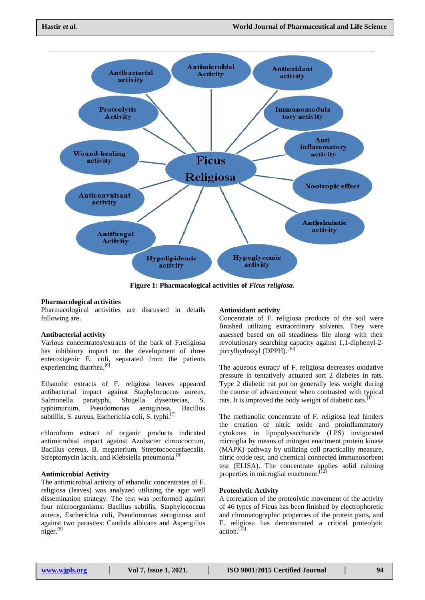

**Figure 1: Pharmacological activities of** *Ficus religiosa.*

#### **Pharmacological activities**

Pharmacological activities are discussed in details following are.

#### **Antibacterial activity**

Various concentrates/extracts of the bark of F.religiosa has inhibitory impact on the development of three enteroxigenic E. coli, separated from the patients experiencing diarrhea.<sup>[6]</sup>

Ethanolic extracts of F. religiosa leaves appeared antibacterial impact against Staphylococcus aureus, Salmonella paratyphi, Shigella dysenteriae, S. typhimurium, Pseudomonas aeruginosa, Bacillus subtillis, S. aureus, Escherichia coli, S. typhi.[7]

chloroform extract of organic products indicated antimicrobial impact against Azobacter chroococcum, Bacillus cereus, B. megaterium, Streptococcusfaecalis, Streptomycin lactis, and Klebsiella pneumonia.<sup>[8]</sup>

#### **Antimicrobial Activity**

The antimicrobial activity of ethanolic concentrates of F. religiosa (leaves) was analyzed utilizing the agar well dissemination strategy. The test was performed against four microorganisms: Bacillus subtilis, Staphylococcus aureus, Escherichia coli, Pseudomonas aeruginosa and against two parasites: Candida albicans and Aspergillus niger.[9]

#### **Antioxidant activity**

Concentrate of F. religiosa products of the soil were finished utilizing extraordinary solvents. They were assessed based on oil steadiness file along with their revolutionary searching capacity against 1,1-diphenyl-2 picrylhydrazyl (DPPH).<sup>[10]</sup>

The aqueous extract/ of F. religiosa decreases oxidative pressure in tentatively actuated sort 2 diabetes in rats. Type 2 diabetic rat put on generally less weight during the course of advancement when contrasted with typical rats. It is improved the body weight of diabetic rats.<sup>[11]</sup>

The methanolic concentrate of F. religiosa leaf hinders the creation of nitric oxide and proinflammatory cytokines in lipopolysaccharide (LPS) invigorated microglia by means of mitogen enactment protein kinase (MAPK) pathway by utilizing cell practicality measure, nitric oxide test, and chemical connected immunosorbent test (ELISA). The concentrate applies solid calming properties in microglial enactment.<sup>[12]</sup>

#### **Proteolytic Activity**

A correlation of the proteolytic movement of the activity of 46 types of Ficus has been finished by electrophoretic and chromatographic properties of the protein parts, and F. religiosa has demonstrated a critical proteolytic action.<sup>[13]</sup>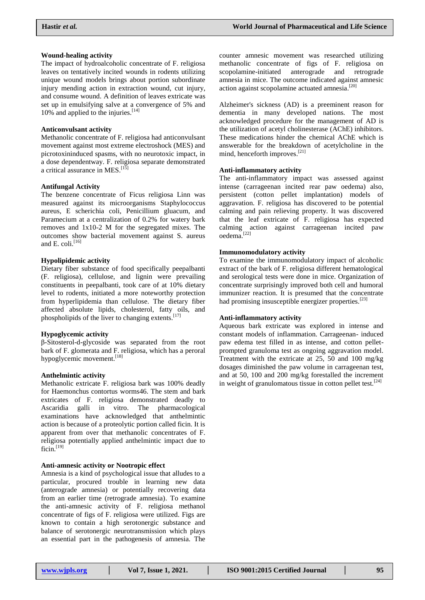## **Wound-healing activity**

The impact of hydroalcoholic concentrate of F. religiosa leaves on tentatively incited wounds in rodents utilizing unique wound models brings about portion subordinate injury mending action in extraction wound, cut injury, and consume wound. A definition of leaves extricate was set up in emulsifying salve at a convergence of 5% and 10% and applied to the injuries.<sup>[14]</sup>

#### **Anticonvulsant activity**

Methanolic concentrate of F. religiosa had anticonvulsant movement against most extreme electroshock (MES) and picrotoxininduced spasms, with no neurotoxic impact, in a dose dependentway. F. religiosa separate demonstrated a critical assurance in MES.<sup>[15]</sup>

#### **Antifungal Activity**

The benzene concentrate of Ficus religiosa Linn was measured against its microorganisms Staphylococcus aureus, E scherichia coli, Penicillium gluacum, and Paramecium at a centralization of 0.2% for watery bark removes and 1x10-2 M for the segregated mixes. The outcomes show bacterial movement against S. aureus and E. coli.<sup>[16]</sup>

## **Hypolipidemic activity**

Dietary fiber substance of food specifically peepalbanti (F. religiosa), cellulose, and lignin were prevailing constituents in peepalbanti, took care of at 10% dietary level to rodents, initiated a more noteworthy protection from hyperlipidemia than cellulose. The dietary fiber affected absolute lipids, cholesterol, fatty oils, and phospholipids of the liver to changing extents.<sup>[17]</sup>

#### **Hypoglycemic activity**

β-Sitosterol-d-glycoside was separated from the root bark of F. glomerata and F. religiosa, which has a peroral hypoglycemic movement.<sup>[18]</sup>

## **Anthelmintic activity**

Methanolic extricate F. religiosa bark was 100% deadly for Haemonchus contortus worms46. The stem and bark extricates of F. religiosa demonstrated deadly to Ascaridia galli in vitro. The pharmacological examinations have acknowledged that anthelmintic action is because of a proteolytic portion called ficin. It is apparent from over that methanolic concentrates of F. religiosa potentially applied anthelmintic impact due to  $ficin.$ <sup>[19]</sup>

#### **Anti-amnesic activity or Nootropic effect**

Amnesia is a kind of psychological issue that alludes to a particular, procured trouble in learning new data (anterograde amnesia) or potentially recovering data from an earlier time (retrograde amnesia). To examine the anti-amnesic activity of F. religiosa methanol concentrate of figs of F. religiosa were utilized. Figs are known to contain a high serotonergic substance and balance of serotonergic neurotransmission which plays an essential part in the pathogenesis of amnesia. The

counter amnesic movement was researched utilizing methanolic concentrate of figs of F. religiosa on scopolamine-initiated anterograde and retrograde amnesia in mice. The outcome indicated against amnesic action against scopolamine actuated amnesia.<sup>[20]</sup>

Alzheimer's sickness (AD) is a preeminent reason for dementia in many developed nations. The most acknowledged procedure for the management of AD is the utilization of acetyl cholinesterase (AChE) inhibitors. These medications hinder the chemical AChE which is answerable for the breakdown of acetylcholine in the mind, henceforth improves.<sup>[21]</sup>

### **Anti-inflammatory activity**

The anti-inflammatory impact was assessed against intense (carrageenan incited rear paw oedema) also, persistent (cotton pellet implantation) models of aggravation. F. religiosa has discovered to be potential calming and pain relieving property. It was discovered that the leaf extricate of F. religiosa has expected calming action against carrageenan incited paw oedema. [22]

## **Immunomodulatory activity**

To examine the immunomodulatory impact of alcoholic extract of the bark of F. religiosa different hematological and serological tests were done in mice. Organization of concentrate surprisingly improved both cell and humoral immunizer reaction. It is presumed that the concentrate had promising insusceptible energizer properties.<sup>[23]</sup>

#### **Anti-inflammatory activity**

Aqueous bark extricate was explored in intense and constant models of inflammation. Carrageenan- induced paw edema test filled in as intense, and cotton pelletprompted granuloma test as ongoing aggravation model. Treatment with the extricate at 25, 50 and 100 mg/kg dosages diminished the paw volume in carrageenan test, and at 50, 100 and 200 mg/kg forestalled the increment in weight of granulomatous tissue in cotton pellet test.<sup>[24]</sup>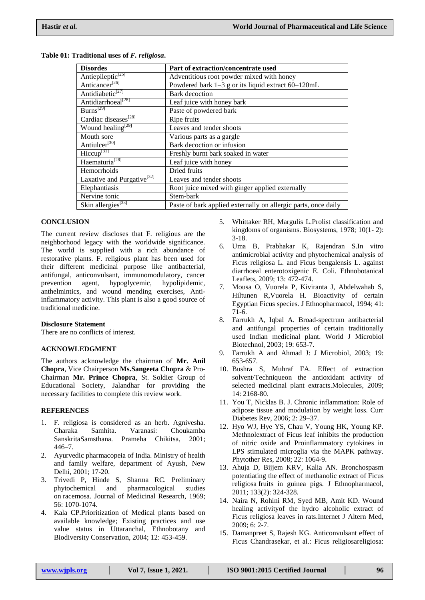| <b>Disordes</b>                        | Part of extraction/concentrate used                            |
|----------------------------------------|----------------------------------------------------------------|
| Antiepileptic <sup>[25]</sup>          | Adventitious root powder mixed with honey                      |
| Anticancer <sup>[26]</sup>             | Powdered bark 1-3 g or its liquid extract 60-120mL             |
| Antidiabetic <sup>[27]</sup>           | <b>Bark</b> decoction                                          |
| Antidiarrhoeal <sup>[28]</sup>         | Leaf juice with honey bark                                     |
| $Burns^{[29]}$                         | Paste of powdered bark                                         |
| Cardiac diseases <sup>[28]</sup>       | Ripe fruits                                                    |
| Wound healing <sup>[29]</sup>          | Leaves and tender shoots                                       |
| Mouth sore                             | Various parts as a gargle                                      |
| Antiulcer <sup>[30]</sup>              | Bark decoction or infusion                                     |
| $\text{Hiccup}^{\left[31\right]}$      | Freshly burnt bark soaked in water                             |
| Haematuria <sup>[28]</sup>             | Leaf juice with honey                                          |
| Hemorrhoids                            | Dried fruits                                                   |
| Laxative and Purgative <sup>[32]</sup> | Leaves and tender shoots                                       |
| Elephantiasis                          | Root juice mixed with ginger applied externally                |
| Nervine tonic                          | Stem-bark                                                      |
| Skin allergies <sup>[33]</sup>         | Paste of bark applied externally on allergic parts, once daily |

#### **Table 01: Traditional uses of** *F. religiosa***.**

### **CONCLUSION**

The current review discloses that F. religious are the neighborhood legacy with the worldwide significance. The world is supplied with a rich abundance of restorative plants. F. religious plant has been used for their different medicinal purpose like antibacterial, antifungal, anticonvulsant, immunomodulatory, cancer prevention agent, hypoglycemic, hypolipidemic, anthelmintics, and wound mending exercises, Antiinflammatory activity. This plant is also a good source of traditional medicine.

#### **Disclosure Statement**

There are no conflicts of interest.

#### **ACKNOWLEDGMENT**

The authors acknowledge the chairman of **Mr. Anil Chopra**, Vice Chairperson **Ms.Sangeeta Chopra** & Pro-Chairman **Mr. Prince Chopra**, St. Soldier Group of Educational Society, Jalandhar for providing the necessary facilities to complete this review work.

### **REFERENCES**

- 1. F. religiosa is considered as an herb. Agnivesha. Charaka Samhita. Varanasi: Choukamba SanskritaSamsthana. Prameha Chikitsa, 2001; 446–7.
- 2. Ayurvedic pharmacopeia of India. Ministry of health and family welfare, department of Ayush, New Delhi, 2001; 17-20.
- 3. Trivedi P, Hinde S, Sharma RC. Preliminary phytochemical and pharmacological studies on racemosa. Journal of Medicinal Research, 1969; 56: 1070-1074.
- 4. Kala CP.Prioritization of Medical plants based on available knowledge; Existing practices and use value status in Uttaranchal, Ethnobotany and Biodiversity Conservation, 2004; 12: 453-459.
- 5. Whittaker RH, Margulis L.Prolist classification and kingdoms of organisms. Biosystems, 1978; 10(1- 2): 3-18.
- 6. Uma B, Prabhakar K, Rajendran S.In vitro antimicrobial activity and phytochemical analysis of Ficus religiosa L. and Ficus bengalensis L. against diarrhoeal enterotoxigenic E. Coli. Ethnobotanical Leaflets, 2009; 13: 472-474.
- 7. Mousa O, Vuorela P, Kiviranta J, Abdelwahab S, Hiltunen R,Vuorela H. Bioactivity of certain Egyptian Ficus species. J Ethnopharmacol, 1994; 41: 71-6.
- 8. Farrukh A, Iqbal A. Broad-spectrum antibacterial and antifungal properties of certain traditionally used Indian medicinal plant. World J Microbiol Biotechnol, 2003; 19: 653-7.
- 9. Farrukh A and Ahmad J: J Microbiol, 2003; 19: 653-657.
- 10. Bushra S, Muhraf FA. Effect of extraction solvent/Techniqueon the antioxidant activity of selected medicinal plant extracts.Molecules, 2009; 14: 2168-80.
- 11. You T, Nicklas B. J. Chronic inflammation: Role of adipose tissue and modulation by weight loss. Curr Diabetes Rev, 2006; 2: 29–37.
- 12. Hyo WJ, Hye YS, Chau V, Young HK, Young KP. Methnolextract of Ficus leaf inhibits the production of nitric oxide and Proinflammatory cytokines in LPS stimulated microglia via the MAPK pathway. Phytother Res, 2008; 22: 1064-9.
- 13. Ahuja D, Bijjem KRV, Kalia AN. Bronchospasm potentiating the effect of methanolic extract of Ficus religiosa fruits in guinea pigs. J Ethnopharmacol, 2011; 133(2): 324-328.
- 14. Naira N, Rohini RM, Syed MB, Amit KD. Wound healing activityof the hydro alcoholic extract of Ficus religiosa leaves in rats.Internet J Altern Med, 2009; 6: 2-7.
- 15. Damanpreet S, Rajesh KG. Anticonvulsant effect of Ficus Chandrasekar, et al.: Ficus religiosareligiosa: